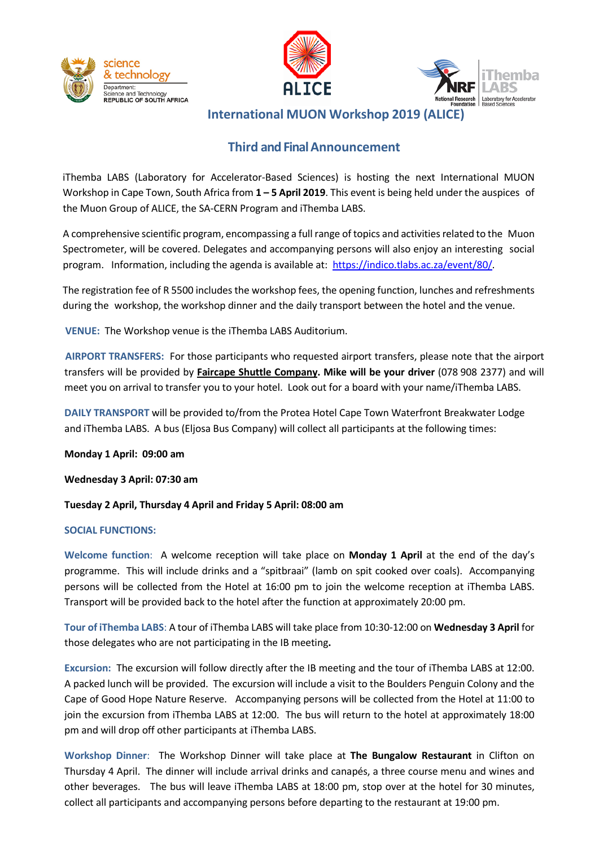





**International MUON Workshop 2019 (ALICE)**

# **Third and Final Announcement**

iThemba LABS (Laboratory for Accelerator-Based Sciences) is hosting the next International MUON Workshop in Cape Town, South Africa from **1 – 5 April 2019**. This event is being held under the auspices of the Muon Group of ALICE, the SA-CERN Program and iThemba LABS.

A comprehensive scientific program, encompassing a full range of topics and activitiesrelated to the Muon Spectrometer, will be covered. Delegates and accompanying persons will also enjoy an interesting social program. Information, including the agenda is available at: [https://indico.tlabs.ac.za/event/80/.](https://indico.tlabs.ac.za/event/80/)

The registration fee of R 5500 includes the workshop fees, the opening function, lunches and refreshments during the workshop, the workshop dinner and the daily transport between the hotel and the venue.

**VENUE:** The Workshop venue is the iThemba LABS Auditorium.

**AIRPORT TRANSFERS:** For those participants who requested airport transfers, please note that the airport transfers will be provided by **Faircape Shuttle Company. Mike will be your driver** (078 908 2377) and will meet you on arrival to transfer you to your hotel. Look out for a board with your name/iThemba LABS.

**DAILY TRANSPORT** will be provided to/from the Protea Hotel Cape Town Waterfront Breakwater Lodge and iThemba LABS. A bus (Eljosa Bus Company) will collect all participants at the following times:

**Monday 1 April: 09:00 am**

**Wednesday 3 April: 07:30 am**

**Tuesday 2 April, Thursday 4 April and Friday 5 April: 08:00 am**

#### **SOCIAL FUNCTIONS:**

**Welcome function**: A welcome reception will take place on **Monday 1 April** at the end of the day's programme. This will include drinks and a "spitbraai" (lamb on spit cooked over coals). Accompanying persons will be collected from the Hotel at 16:00 pm to join the welcome reception at iThemba LABS. Transport will be provided back to the hotel after the function at approximately 20:00 pm.

**Tour of iThemba LABS**: A tour of iThemba LABS will take place from 10:30-12:00 on **Wednesday 3 April** for those delegates who are not participating in the IB meeting**.**

**Excursion:** The excursion will follow directly after the IB meeting and the tour of iThemba LABS at 12:00. A packed lunch will be provided. The excursion will include a visit to the Boulders Penguin Colony and the Cape of Good Hope Nature Reserve. Accompanying persons will be collected from the Hotel at 11:00 to join the excursion from iThemba LABS at 12:00. The bus will return to the hotel at approximately 18:00 pm and will drop off other participants at iThemba LABS.

**Workshop Dinner**: The Workshop Dinner will take place at **The Bungalow Restaurant** in Clifton on Thursday 4 April. The dinner will include arrival drinks and canapés, a three course menu and wines and other beverages. The bus will leave iThemba LABS at 18:00 pm, stop over at the hotel for 30 minutes, collect all participants and accompanying persons before departing to the restaurant at 19:00 pm.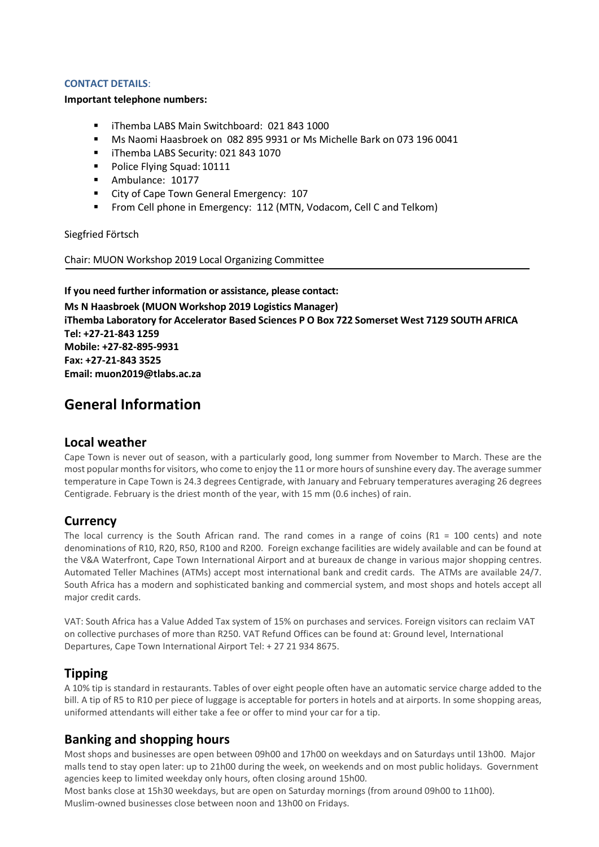#### **CONTACT DETAILS**:

#### **Important telephone numbers:**

- iThemba LABS Main Switchboard: 021 843 1000
- Ms Naomi Haasbroek on 082 895 9931 or Ms Michelle Bark on 073 196 0041
- iThemba LABS Security: 021 843 1070
- Police Flying Squad: 10111
- Ambulance: 10177
- City of Cape Town General Emergency: 107
- **F** From Cell phone in Emergency: 112 (MTN, Vodacom, Cell C and Telkom)

Siegfried Förtsch

Chair: MUON Workshop 2019 Local Organizing Committee

**If you need further information or assistance, please contact: Ms N Haasbroek (MUON Workshop 2019 Logistics Manager) iThemba Laboratory for Accelerator Based Sciences P O Box 722 Somerset West 7129 SOUTH AFRICA Tel: +27-21-843 1259 Mobile: +27-82-895-9931 Fax: +27-21-843 3525 Email: [muon2019@tlabs.ac.za](mailto:muon2019@tlabs.ac.za)**

# **General Information**

#### **Local weather**

Cape Town is never out of season, with a particularly good, long summer from November to March. These are the most popular months for visitors, who come to enjoy the 11 or more hours of sunshine every day. The average summer temperature in Cape Town is 24.3 degrees Centigrade, with January and February temperatures averaging 26 degrees Centigrade. February is the driest month of the year, with 15 mm (0.6 inches) of rain.

#### **Currency**

The local currency is the South African rand. The rand comes in a range of coins ( $R1 = 100$  cents) and note denominations of R10, R20, R50, R100 and R200. Foreign exchange facilities are widely available and can be found at the V&A Waterfront, Cape Town International Airport and at bureaux de change in various major shopping centres. Automated Teller Machines (ATMs) accept most international bank and credit cards. The ATMs are available 24/7. South Africa has a modern and sophisticated banking and commercial system, and most shops and hotels accept all major credit cards.

VAT: South Africa has a Value Added Tax system of 15% on purchases and services. Foreign visitors can reclaim VAT on collective purchases of more than R250. VAT Refund Offices can be found at: Ground level, International Departures, Cape Town International Airport Tel: + 27 21 934 8675.

#### **Tipping**

A 10% tip is standard in restaurants. Tables of over eight people often have an automatic service charge added to the bill. A tip of R5 to R10 per piece of luggage is acceptable for porters in hotels and at airports. In some shopping areas, uniformed attendants will either take a fee or offer to mind your car for a tip.

### **Banking and shopping hours**

Most shops and businesses are open between 09h00 and 17h00 on weekdays and on Saturdays until 13h00. Major malls tend to stay open later: up to 21h00 during the week, on weekends and on most public holidays. Government agencies keep to limited weekday only hours, often closing around 15h00.

Most banks close at 15h30 weekdays, but are open on Saturday mornings (from around 09h00 to 11h00). Muslim-owned businesses close between noon and 13h00 on Fridays.